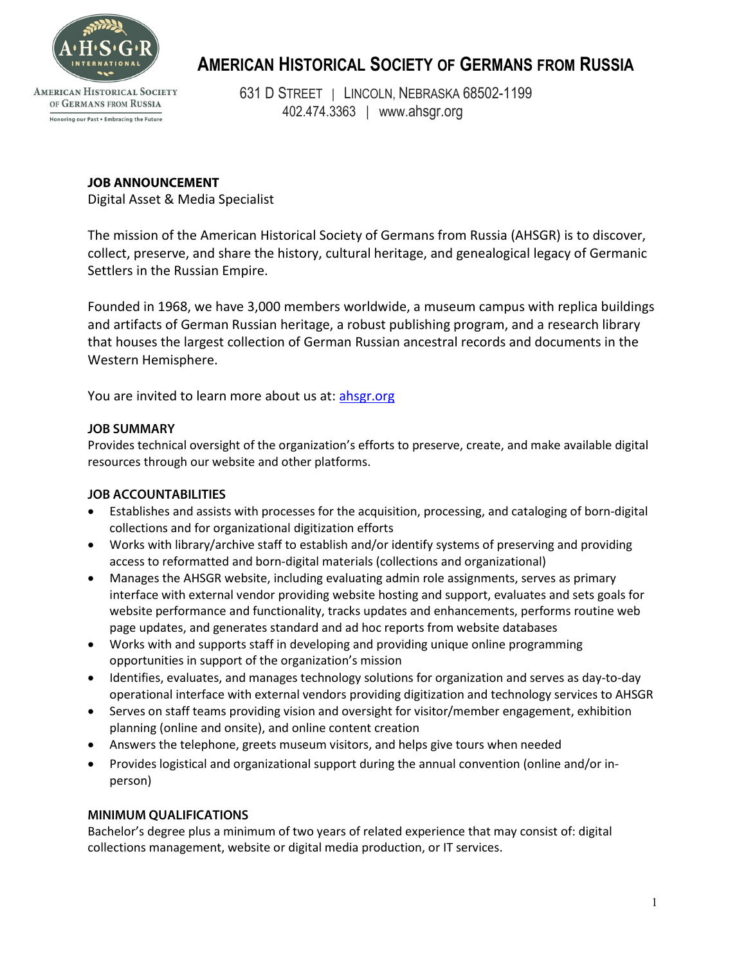

OF GERMANS FROM RUSSIA

Honoring our Past . Embracing the Future

# **AMERICAN HISTORICAL SOCIETY OF GERMANS FROM RUSSIA**

631 D STREET | LINCOLN, NEBRASKA 68502-1199 402.474.3363 | www.ahsgr.org

# **JOB ANNOUNCEMENT**

Digital Asset & Media Specialist

The mission of the American Historical Society of Germans from Russia (AHSGR) is to discover, collect, preserve, and share the history, cultural heritage, and genealogical legacy of Germanic Settlers in the Russian Empire.

Founded in 1968, we have 3,000 members worldwide, a museum campus with replica buildings and artifacts of German Russian heritage, a robust publishing program, and a research library that houses the largest collection of German Russian ancestral records and documents in the Western Hemisphere.

You are invited to learn more about us at: [ahsgr.org](https://ahsgr.org/)

# **JOB SUMMARY**

Provides technical oversight of the organization's efforts to preserve, create, and make available digital resources through our website and other platforms.

# **JOB ACCOUNTABILITIES**

- Establishes and assists with processes for the acquisition, processing, and cataloging of born-digital collections and for organizational digitization efforts
- Works with library/archive staff to establish and/or identify systems of preserving and providing access to reformatted and born-digital materials (collections and organizational)
- Manages the AHSGR website, including evaluating admin role assignments, serves as primary interface with external vendor providing website hosting and support, evaluates and sets goals for website performance and functionality, tracks updates and enhancements, performs routine web page updates, and generates standard and ad hoc reports from website databases
- Works with and supports staff in developing and providing unique online programming opportunities in support of the organization's mission
- Identifies, evaluates, and manages technology solutions for organization and serves as day-to-day operational interface with external vendors providing digitization and technology services to AHSGR
- Serves on staff teams providing vision and oversight for visitor/member engagement, exhibition planning (online and onsite), and online content creation
- Answers the telephone, greets museum visitors, and helps give tours when needed
- Provides logistical and organizational support during the annual convention (online and/or inperson)

## **MINIMUM QUALIFICATIONS**

Bachelor's degree plus a minimum of two years of related experience that may consist of: digital collections management, website or digital media production, or IT services.